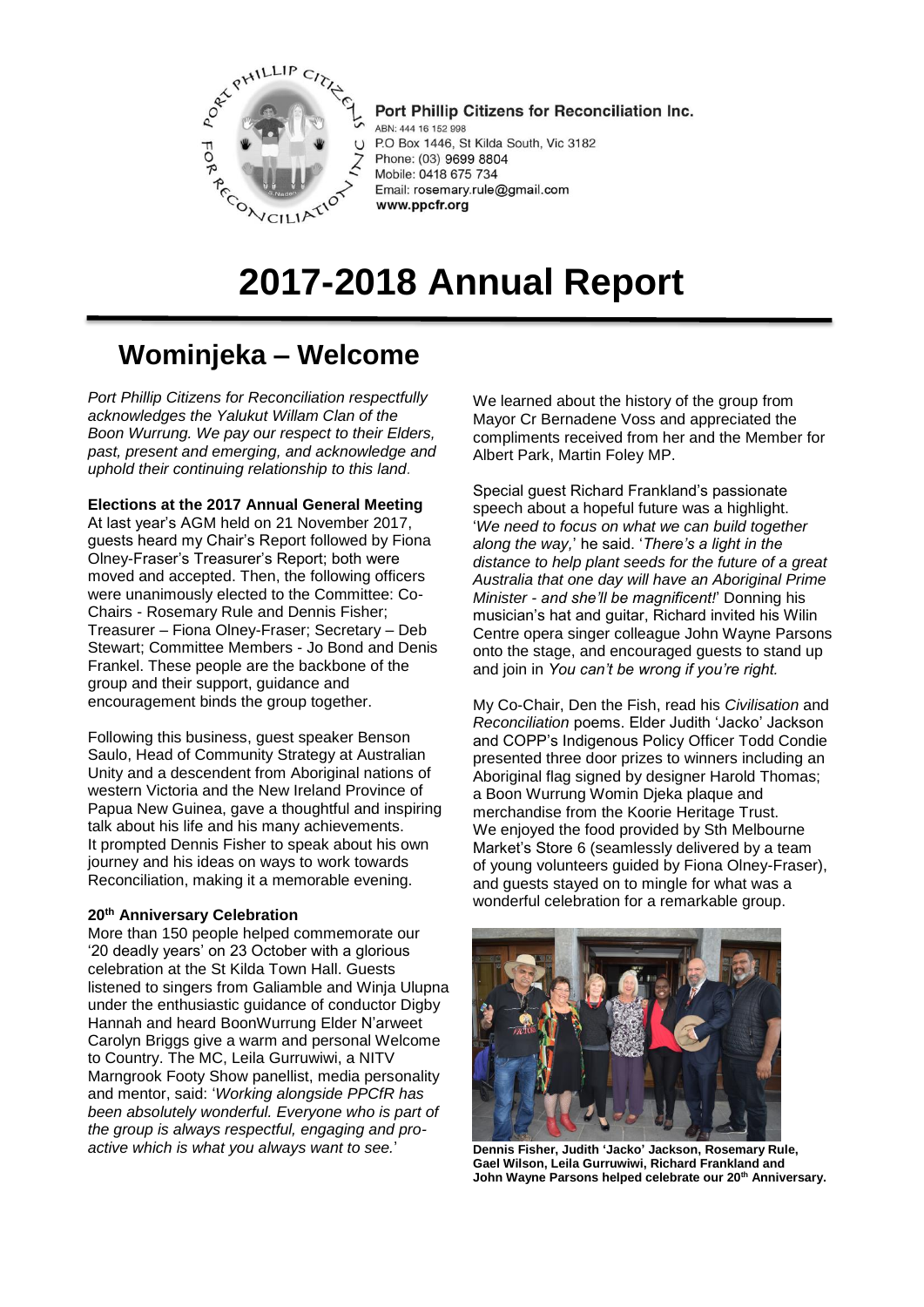

Port Phillip Citizens for Reconciliation Inc. ABN: 444 16 152 998 P.O Box 1446, St Kilda South, Vic 3182 Phone: (03) 9699 8804 Mobile: 0418 675 734 Email: rosemary.rule@gmail.com www.ppcfr.org

# **2017-2018 Annual Report**

# **Wominjeka – Welcome**

*Port Phillip Citizens for Reconciliation respectfully acknowledges the Yalukut Willam Clan of the Boon Wurrung. We pay our respect to their Elders, past, present and emerging, and acknowledge and uphold their continuing relationship to this land.*

**Elections at the 2017 Annual General Meeting**

At last year's AGM held on 21 November 2017, guests heard my Chair's Report followed by Fiona Olney-Fraser's Treasurer's Report; both were moved and accepted. Then, the following officers were unanimously elected to the Committee: Co-Chairs - Rosemary Rule and Dennis Fisher; Treasurer – Fiona Olney-Fraser; Secretary – Deb Stewart; Committee Members - Jo Bond and Denis Frankel. These people are the backbone of the group and their support, guidance and encouragement binds the group together.

Following this business, guest speaker Benson Saulo, Head of Community Strategy at Australian Unity and a descendent from Aboriginal nations of western Victoria and the New Ireland Province of Papua New Guinea, gave a thoughtful and inspiring talk about his life and his many achievements. It prompted Dennis Fisher to speak about his own journey and his ideas on ways to work towards Reconciliation, making it a memorable evening.

# **20th Anniversary Celebration**

More than 150 people helped commemorate our '20 deadly years' on 23 October with a glorious celebration at the St Kilda Town Hall. Guests listened to singers from Galiamble and Winja Ulupna under the enthusiastic guidance of conductor Digby Hannah and heard BoonWurrung Elder N'arweet Carolyn Briggs give a warm and personal Welcome to Country. The MC, Leila Gurruwiwi, a NITV Marngrook Footy Show panellist, media personality and mentor, said: '*Working alongside PPCfR has been absolutely wonderful. Everyone who is part of the group is always respectful, engaging and proactive which is what you always want to see.*'

We learned about the history of the group from Mayor Cr Bernadene Voss and appreciated the compliments received from her and the Member for Albert Park, Martin Foley MP.

Special guest Richard Frankland's passionate speech about a hopeful future was a highlight. '*We need to focus on what we can build together along the way,*' he said. '*There's a light in the distance to help plant seeds for the future of a great Australia that one day will have an Aboriginal Prime Minister - and she'll be magnificent!*' Donning his musician's hat and guitar, Richard invited his Wilin Centre opera singer colleague John Wayne Parsons onto the stage, and encouraged guests to stand up and join in *You can't be wrong if you're right.*

My Co-Chair, Den the Fish, read his *Civilisation* and *Reconciliation* poems. Elder Judith 'Jacko' Jackson and COPP's Indigenous Policy Officer Todd Condie presented three door prizes to winners including an Aboriginal flag signed by designer Harold Thomas; a Boon Wurrung Womin Djeka plaque and merchandise from the Koorie Heritage Trust. We enjoyed the food provided by Sth Melbourne Market's Store 6 (seamlessly delivered by a team of young volunteers guided by Fiona Olney-Fraser), and guests stayed on to mingle for what was a wonderful celebration for a remarkable group.



**Dennis Fisher, Judith 'Jacko' Jackson, Rosemary Rule, Gael Wilson, Leila Gurruwiwi, Richard Frankland and John Wayne Parsons helped celebrate our 20th Anniversary.**